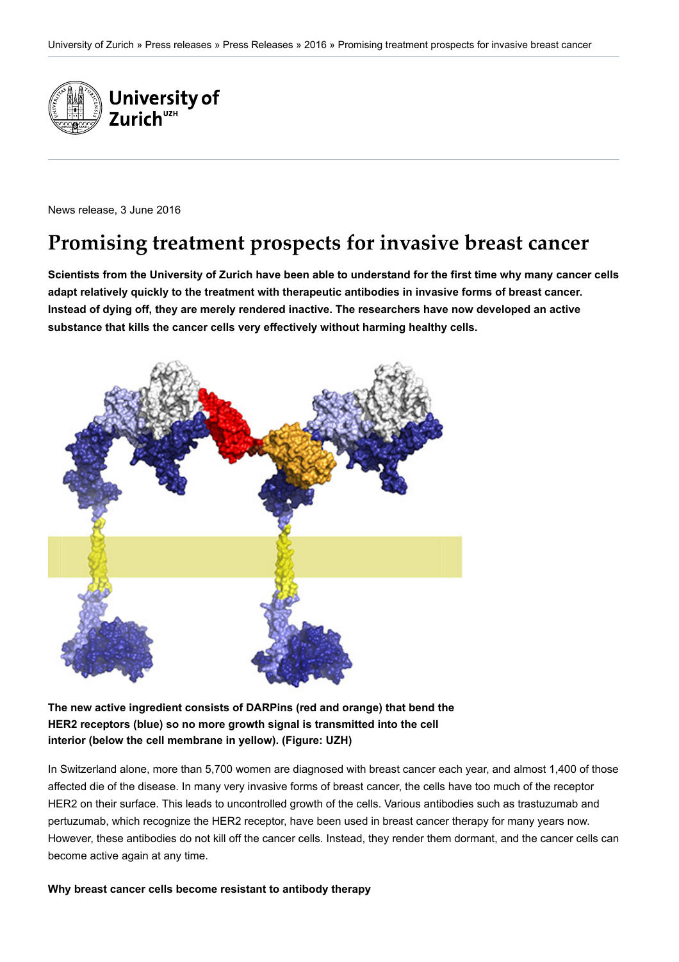

News release, 3 June 2016

# **Promising treatment prospects for invasive breast cancer**

**Scientists from the University of Zurich have been able to understand for the first time why many cancer cells adapt relatively quickly to the treatment with therapeutic antibodies in invasive forms of breast cancer. Instead of dying off, they are merely rendered inactive. The researchers have now developed an active substance that kills the cancer cells very effectively without harming healthy cells.**



# **The new active ingredient consists of DARPins (red and orange) that bend the HER2 receptors (blue) so no more growth signal is transmitted into the cell interior (below the cell membrane in yellow). (Figure: UZH)**

In Switzerland alone, more than 5,700 women are diagnosed with breast cancer each year, and almost 1,400 of those affected die of the disease. In many very invasive forms of breast cancer, the cells have too much of the receptor HER2 on their surface. This leads to uncontrolled growth of the cells. Various antibodies such as trastuzumab and pertuzumab, which recognize the HER2 receptor, have been used in breast cancer therapy for many years now. However, these antibodies do not kill off the cancer cells. Instead, they render them dormant, and the cancer cells can become active again at any time.

**Why breast cancer cells become resistant to antibody therapy**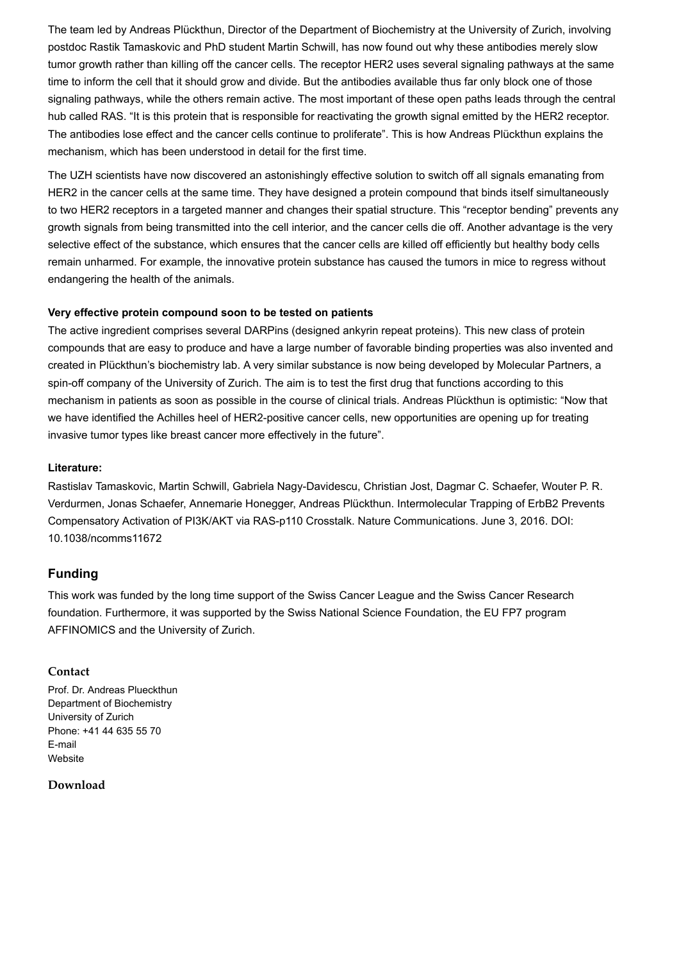The team led by Andreas Plückthun, Director of the Department of Biochemistry at the University of Zurich, involving postdoc Rastik Tamaskovic and PhD student Martin Schwill, has now found out why these antibodies merely slow tumor growth rather than killing off the cancer cells. The receptor HER2 uses several signaling pathways at the same time to inform the cell that it should grow and divide. But the antibodies available thus far only block one of those signaling pathways, while the others remain active. The most important of these open paths leads through the central hub called RAS. "It is this protein that is responsible for reactivating the growth signal emitted by the HER2 receptor. The antibodies lose effect and the cancer cells continue to proliferate". This is how Andreas Plückthun explains the mechanism, which has been understood in detail for the first time.

The UZH scientists have now discovered an astonishingly effective solution to switch off all signals emanating from HER2 in the cancer cells at the same time. They have designed a protein compound that binds itself simultaneously to two HER2 receptors in a targeted manner and changes their spatial structure. This "receptor bending" prevents any growth signals from being transmitted into the cell interior, and the cancer cells die off. Another advantage is the very selective effect of the substance, which ensures that the cancer cells are killed off efficiently but healthy body cells remain unharmed. For example, the innovative protein substance has caused the tumors in mice to regress without endangering the health of the animals.

## **Very effective protein compound soon to be tested on patients**

The active ingredient comprises several DARPins (designed ankyrin repeat proteins). This new class of protein compounds that are easy to produce and have a large number of favorable binding properties was also invented and created in Plückthun's biochemistry lab. A very similar substance is now being developed by Molecular Partners, a spin-off company of the University of Zurich. The aim is to test the first drug that functions according to this mechanism in patients as soon as possible in the course of clinical trials. Andreas Plückthun is optimistic: "Now that we have identified the Achilles heel of HER2-positive cancer cells, new opportunities are opening up for treating invasive tumor types like breast cancer more effectively in the future".

#### **Literature:**

Rastislav Tamaskovic, Martin Schwill, Gabriela Nagy-Davidescu, Christian Jost, Dagmar C. Schaefer, Wouter P. R. Verdurmen, Jonas Schaefer, Annemarie Honegger, Andreas Plückthun. Intermolecular Trapping of ErbB2 Prevents Compensatory Activation of PI3K/AKT via RAS-p110 Crosstalk. Nature Communications. June 3, 2016. DOI: 10.1038/ncomms11672

# **Funding**

This work was funded by the long time support of the Swiss Cancer League and the Swiss Cancer Research foundation. Furthermore, it was supported by the Swiss National Science Foundation, the EU FP7 program AFFINOMICS and the University of Zurich.

## **Contact**

Prof. Dr. Andreas Plueckthun Department of Biochemistry University of Zurich Phone: +41 44 635 55 70 [E-mail](mailto:plueckthun@bioc.uzh.ch) [Website](https://www.bioc.uzh.ch/en/research/research-groups/plueckthun/projects/)

## **Download**